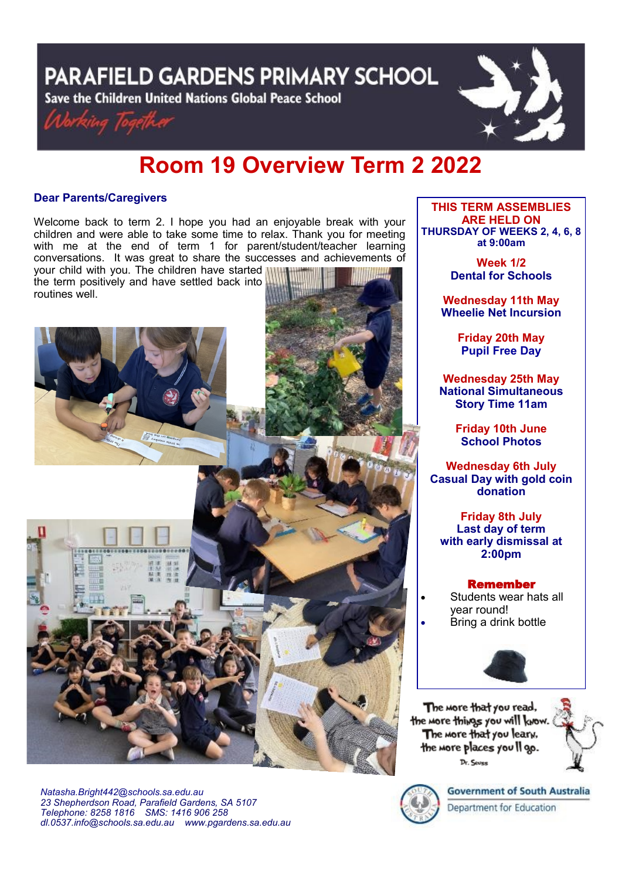**PARAFIELD GARDENS PRIMARY SCHOOL** 

Save the Children United Nations Global Peace School





# **Room 19 Overview Term 2 2022**

# **Dear Parents/Caregivers**

Welcome back to term 2. I hope you had an enjoyable break with your children and were able to take some time to relax. Thank you for meeting with me at the end of term 1 for parent/student/teacher learning conversations. It was great to share the successes and achievements of

your child with you. The children have started the term positively and have settled back into routines well.



*Natasha.Bright442@schools.sa.edu.au 23 Shepherdson Road, Parafield Gardens, SA 5107 Telephone: 8258 1816 [SMS:](http://www.youtube.com/user/ParafieldGR7) 1416 906 258 dl[.0537.info@schools.sa.edu.au](mailto:dl.0537_info@schools.sa.edu.au) www.pgardens.sa.edu.au*

**THIS TERM ASSEMBLIES ARE HELD ON THURSDAY OF WEEKS 2, 4, 6, 8 at 9:00am** 

> **Week 1/2 Dental for Schools**

**Wednesday 11th May Wheelie Net Incursion**

> **Friday 20th May Pupil Free Day**

**Wednesday 25th May National Simultaneous Story Time 11am**

> **Friday 10th June School Photos**

**Wednesday 6th July Casual Day with gold coin donation**

**Friday 8th July Last day of term with early dismissal at 2:00pm**

# Remember

- Students wear hats all year round!
- Bring a drink bottle



The more that you read, the more things you will know. The more that you leary, the more places you Il go. Dr. Sevee



**Government of South Australia** Department for Education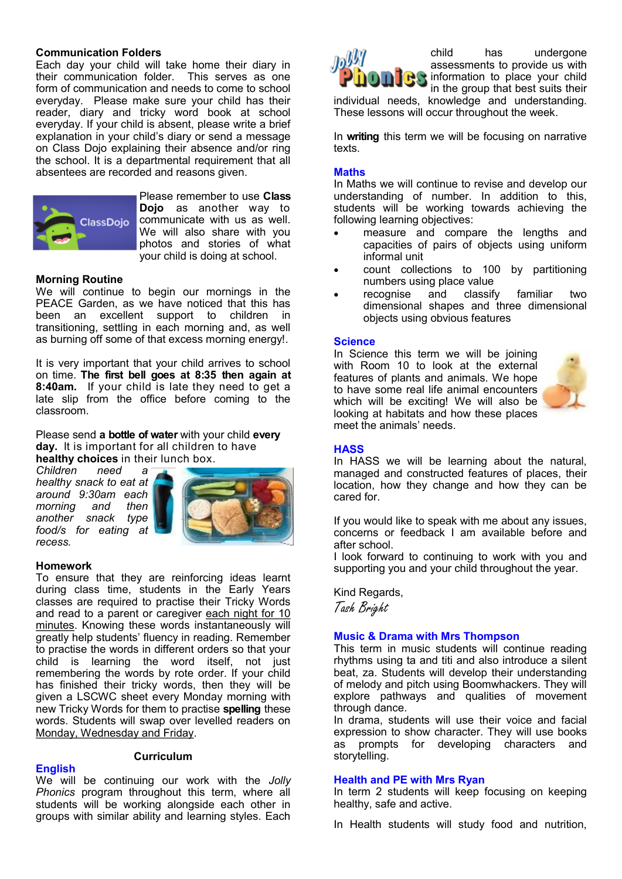## **Communication Folders**

Each day your child will take home their diary in their communication folder. This serves as one form of communication and needs to come to school everyday. Please make sure your child has their reader, diary and tricky word book at school everyday. If your child is absent, please write a brief explanation in your child's diary or send a message on Class Dojo explaining their absence and/or ring the school. It is a departmental requirement that all absentees are recorded and reasons given.



Please remember to use **Class Dojo** as another way to communicate with us as well. We will also share with you photos and stories of what your child is doing at school.

## **Morning Routine**

We will continue to begin our mornings in the PEACE Garden, as we have noticed that this has been an excellent support to children in transitioning, settling in each morning and, as well as burning off some of that excess morning energy!.

It is very important that your child arrives to school on time. **The first bell goes at 8:35 then again at 8:40am.** If your child is late they need to get a late slip from the office before coming to the classroom.

Please send **a bottle of water** with your child **every day.** It is important for all children to have **healthy choices** in their lunch box.

*Children need a healthy snack to eat at around 9:30am each morning and then another snack type food/s for eating at recess.*



## **Homework**

To ensure that they are reinforcing ideas learnt during class time, students in the Early Years classes are required to practise their Tricky Words and read to a parent or caregiver each night for 10 minutes. Knowing these words instantaneously will greatly help students' fluency in reading. Remember to practise the words in different orders so that your child is learning the word itself, not just remembering the words by rote order. If your child has finished their tricky words, then they will be given a LSCWC sheet every Monday morning with new Tricky Words for them to practise **spelling** these words. Students will swap over levelled readers on Monday, Wednesday and Friday.

# **English**

# **Curriculum**

We will be continuing our work with the *Jolly Phonics* program throughout this term, where all students will be working alongside each other in groups with similar ability and learning styles. Each



child has undergone assessments to provide us with information to place your child in the group that best suits their

individual needs, knowledge and understanding. These lessons will occur throughout the week.

In **writing** this term we will be focusing on narrative texts.

## **Maths**

In Maths we will continue to revise and develop our understanding of number. In addition to this, students will be working towards achieving the following learning objectives:

- measure and compare the lengths and capacities of pairs of objects using uniform informal unit
- count collections to 100 by partitioning numbers using place value
- recognise and classify familiar two dimensional shapes and three dimensional objects using obvious features

## **Science**

In Science this term we will be joining with Room 10 to look at the external features of plants and animals. We hope to have some real life animal encounters which will be exciting! We will also be looking at habitats and how these places meet the animals' needs.



# **HASS**

In HASS we will be learning about the natural, managed and constructed features of places, their location, how they change and how they can be cared for.

If you would like to speak with me about any issues, concerns or feedback I am available before and after school.

I look forward to continuing to work with you and supporting you and your child throughout the year.

Kind Regards, Tash Bright

## **Music & Drama with Mrs Thompson**

This term in music students will continue reading rhythms using ta and titi and also introduce a silent beat, za. Students will develop their understanding of melody and pitch using Boomwhackers. They will explore pathways and qualities of movement through dance.

In drama, students will use their voice and facial expression to show character. They will use books as prompts for developing characters and storytelling.

## **Health and PE with Mrs Ryan**

In term 2 students will keep focusing on keeping healthy, safe and active.

In Health students will study food and nutrition,